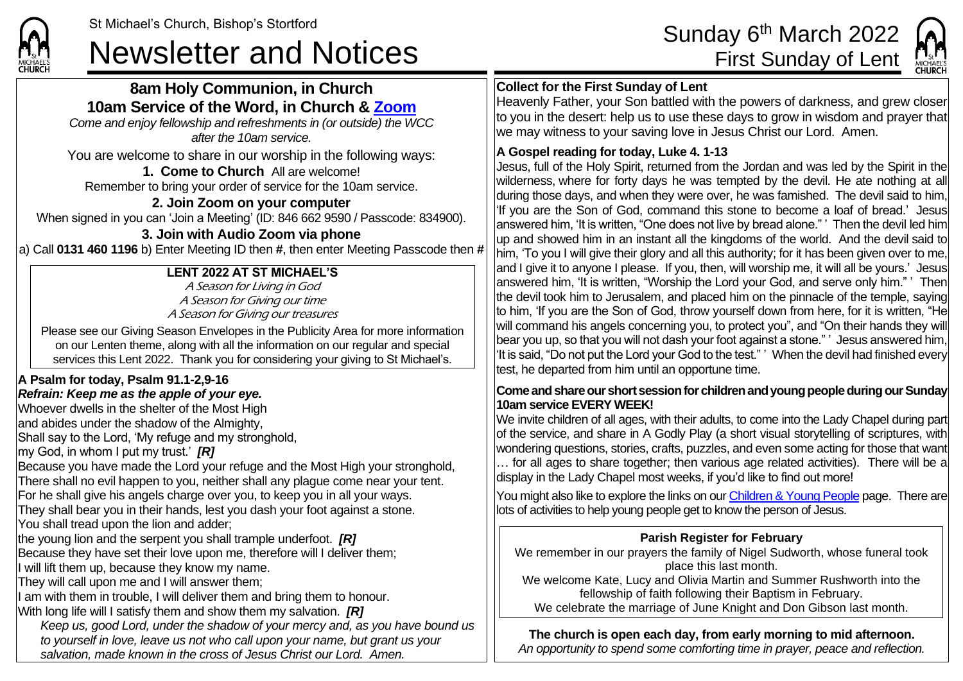# St Michael's Church, Bishop's Stortford<br>Sunday 6<sup>th</sup> March 2022<br>First Sunday of Lent



#### **Collect for the First Sunday of Lent**

Heavenly Father, your Son battled with the powers of darkness, and grew closer to you in the desert: help us to use these days to grow in wisdom and prayer that we may witness to your saving love in Jesus Christ our Lord. Amen.

#### **A Gospel reading for today, Luke 4. 1-13**

Jesus, full of the Holy Spirit, returned from the Jordan and was led by the Spirit in the wilderness, where for forty days he was tempted by the devil. He ate nothing at all during those days, and when they were over, he was famished. The devil said to him, 'If you are the Son of God, command this stone to become a loaf of bread.' Jesus answered him, 'It is written, "One does not live by bread alone." ' Then the devil led him up and showed him in an instant all the kingdoms of the world. And the devil said to him, 'To you I will give their glory and all this authority; for it has been given over to me, land I give it to anyone I please. If you, then, will worship me, it will all be yours.' Jesusl answered him, 'It is written, "Worship the Lord your God, and serve only him." ' Then the devil took him to Jerusalem, and placed him on the pinnacle of the temple, saying to him, 'If you are the Son of God, throw yourself down from here, for it is written, "He will command his angels concerning you, to protect you", and "On their hands they will bear you up, so that you will not dash your foot against a stone." ' Jesus answered him, 'It is said, "Do not put the Lord your God to the test." ' When the devil had finished every test, he departed from him until an opportune time.

#### **Come and share ourshort session for children and young people during our Sunday 10am service EVERY WEEK!**

We invite children of all ages, with their adults, to come into the Lady Chapel during part of the service, and share in A Godly Play (a short visual storytelling of scriptures, with wondering questions, stories, crafts, puzzles, and even some acting for those that want … for all ages to share together; then various age related activities). There will be a display in the Lady Chapel most weeks, if you'd like to find out more!

You might also like to explore the links on our [Children & Young People](https://saintmichaelweb.org.uk/Groups/310496/Children_and_Young.aspx) page. There are lots of activities to help young people get to know the person of Jesus.

#### **Parish Register for February**

We remember in our prayers the family of Nigel Sudworth, whose funeral took place this last month.

We welcome Kate, Lucy and Olivia Martin and Summer Rushworth into the fellowship of faith following their Baptism in February.

We celebrate the marriage of June Knight and Don Gibson last month.

**The church is open each day, from early morning to mid afternoon.** 

*An opportunity to spend some comforting time in prayer, peace and reflection.*

### **8am Holy Communion, in Church 10am Service of the Word, in Church & [Zoom](https://zoom.us/)**

*Come and enjoy fellowship and refreshments in (or outside) the WCC after the 10am service.*

You are welcome to share in our worship in the following ways:

**1. Come to Church** All are welcome! Remember to bring your order of service for the 10am service.

#### **2. Join Zoom on your computer**

When signed in you can 'Join a Meeting' (ID: 846 662 9590 / Passcode: 834900).

#### **3. Join with Audio Zoom via phone**

a) Call **0131 460 1196** b) Enter Meeting ID then **#**, then enter Meeting Passcode then **#**

### **LENT 2022 AT ST MICHAEL'S**

A Season for Living in God A Season for Giving our time A Season for Giving our treasures

Please see our Giving Season Envelopes in the Publicity Area for more information on our Lenten theme, along with all the information on our regular and special services this Lent 2022. Thank you for considering your giving to St Michael's.

## **A Psalm for today, Psalm 91.1-2,9-16**

#### *Refrain: Keep me as the apple of your eye.*

Whoever dwells in the shelter of the Most High

land abides under the shadow of the Almighty.

Shall say to the Lord, 'My refuge and my stronghold,

my God, in whom I put my trust.' *[R]*

Because you have made the Lord your refuge and the Most High your stronghold, There shall no evil happen to you, neither shall any plague come near your tent. For he shall give his angels charge over you, to keep you in all your ways. They shall bear you in their hands, lest you dash your foot against a stone. You shall tread upon the lion and adder;

the young lion and the serpent you shall trample underfoot. *[R]*

Because they have set their love upon me, therefore will I deliver them;

If will lift them up, because they know my name.

They will call upon me and I will answer them;

I am with them in trouble, I will deliver them and bring them to honour.

With long life will I satisfy them and show them my salvation. *[R]*

*Keep us, good Lord, under the shadow of your mercy and, as you have bound us to yourself in love, leave us not who call upon your name, but grant us your salvation, made known in the cross of Jesus Christ our Lord. Amen.*